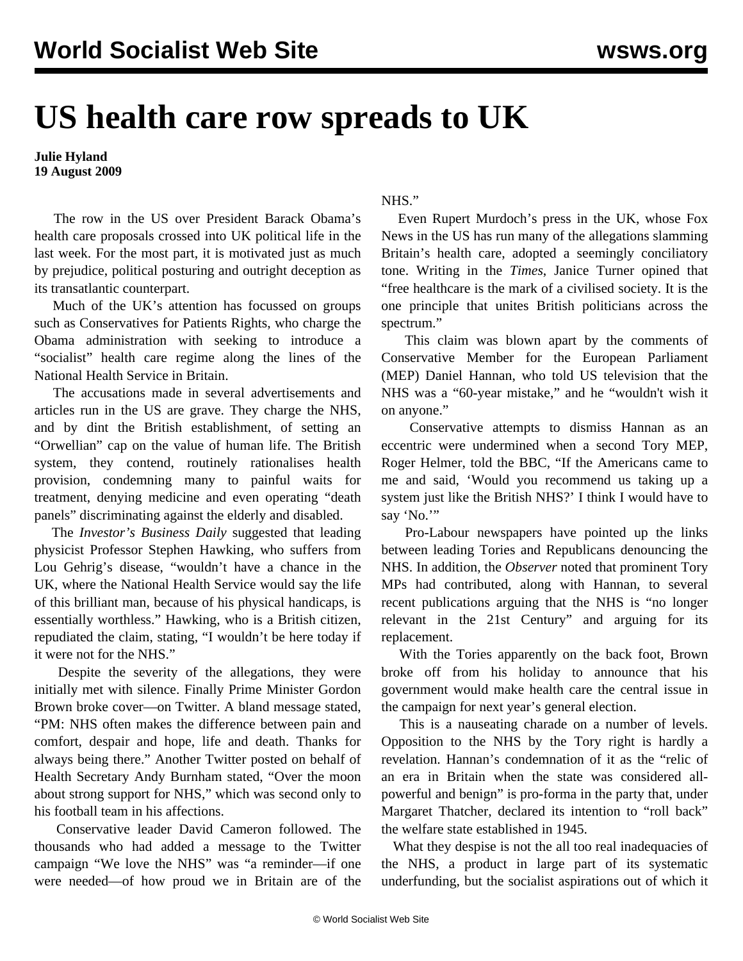## **US health care row spreads to UK**

## **Julie Hyland 19 August 2009**

 The row in the US over President Barack Obama's health care proposals crossed into UK political life in the last week. For the most part, it is motivated just as much by prejudice, political posturing and outright deception as its transatlantic counterpart.

 Much of the UK's attention has focussed on groups such as Conservatives for Patients Rights, who charge the Obama administration with seeking to introduce a "socialist" health care regime along the lines of the National Health Service in Britain.

 The accusations made in several advertisements and articles run in the US are grave. They charge the NHS, and by dint the British establishment, of setting an "Orwellian" cap on the value of human life. The British system, they contend, routinely rationalises health provision, condemning many to painful waits for treatment, denying medicine and even operating "death panels" discriminating against the elderly and disabled.

 The *Investor's Business Daily* suggested that leading physicist Professor Stephen Hawking, who suffers from Lou Gehrig's disease, "wouldn't have a chance in the UK, where the National Health Service would say the life of this brilliant man, because of his physical handicaps, is essentially worthless." Hawking, who is a British citizen, repudiated the claim, stating, "I wouldn't be here today if it were not for the NHS."

 Despite the severity of the allegations, they were initially met with silence. Finally Prime Minister Gordon Brown broke cover—on Twitter. A bland message stated, "PM: NHS often makes the difference between pain and comfort, despair and hope, life and death. Thanks for always being there." Another Twitter posted on behalf of Health Secretary Andy Burnham stated, "Over the moon about strong support for NHS," which was second only to his football team in his affections.

 Conservative leader David Cameron followed. The thousands who had added a message to the Twitter campaign "We love the NHS" was "a reminder—if one were needed—of how proud we in Britain are of the

## NHS."

 Even Rupert Murdoch's press in the UK, whose Fox News in the US has run many of the allegations slamming Britain's health care, adopted a seemingly conciliatory tone. Writing in the *Times*, Janice Turner opined that "free healthcare is the mark of a civilised society. It is the one principle that unites British politicians across the spectrum."

 This claim was blown apart by the comments of Conservative Member for the European Parliament (MEP) Daniel Hannan, who told US television that the NHS was a "60-year mistake," and he "wouldn't wish it on anyone."

 Conservative attempts to dismiss Hannan as an eccentric were undermined when a second Tory MEP, Roger Helmer, told the BBC, "If the Americans came to me and said, 'Would you recommend us taking up a system just like the British NHS?' I think I would have to say 'No.""

 Pro-Labour newspapers have pointed up the links between leading Tories and Republicans denouncing the NHS. In addition, the *Observer* noted that prominent Tory MPs had contributed, along with Hannan, to several recent publications arguing that the NHS is "no longer relevant in the 21st Century" and arguing for its replacement.

 With the Tories apparently on the back foot, Brown broke off from his holiday to announce that his government would make health care the central issue in the campaign for next year's general election.

 This is a nauseating charade on a number of levels. Opposition to the NHS by the Tory right is hardly a revelation. Hannan's condemnation of it as the "relic of an era in Britain when the state was considered allpowerful and benign" is pro-forma in the party that, under Margaret Thatcher, declared its intention to "roll back" the welfare state established in 1945.

What they despise is not the all too real inadequacies of the NHS, a product in large part of its systematic underfunding, but the socialist aspirations out of which it